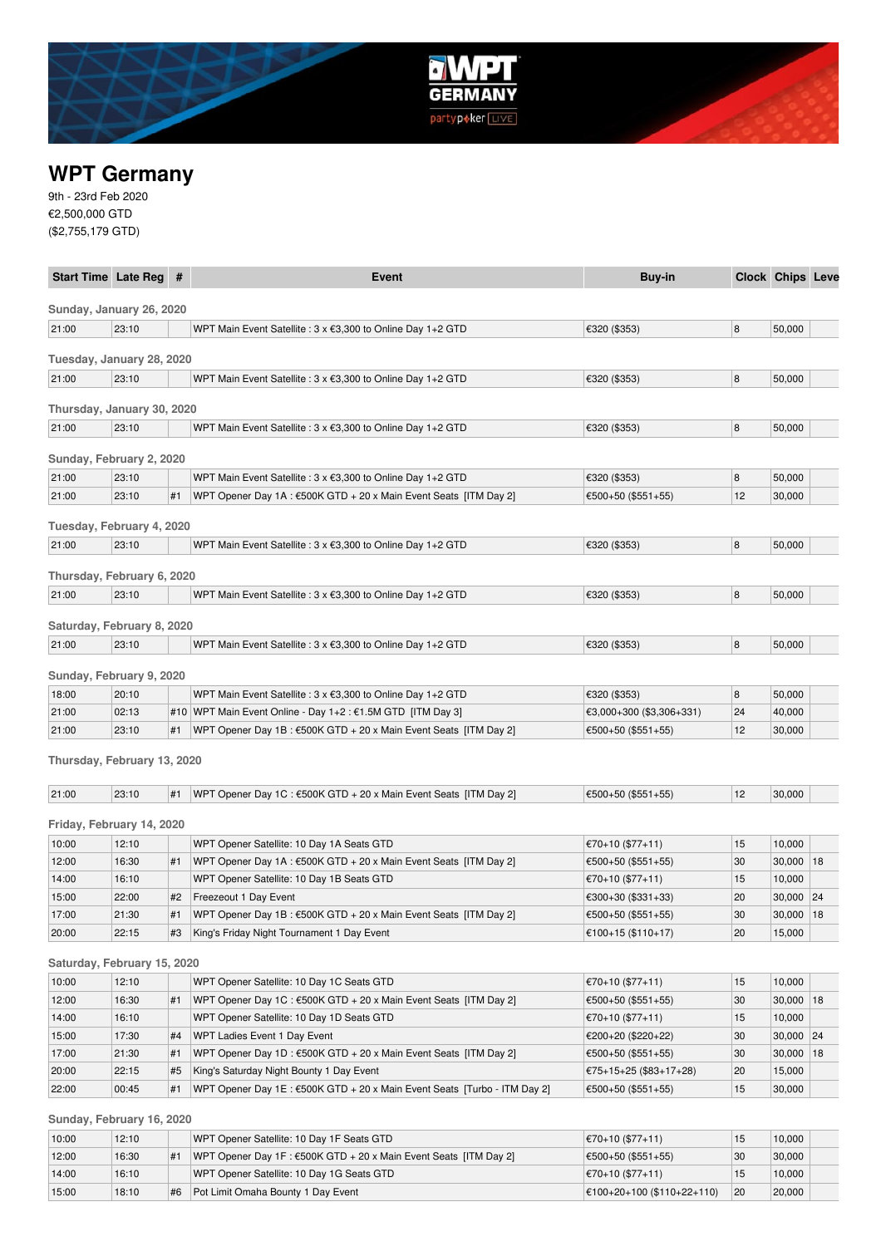

# **WPT Germany**

9th - 23rd Feb 2020 €2,500,000 GTD (\$2,755,179 GTD)

| Start Time Late Reg #       |                |    | Event                                                                                                          | Buy-in                                 |          | <b>Clock Chips Leve</b> |    |
|-----------------------------|----------------|----|----------------------------------------------------------------------------------------------------------------|----------------------------------------|----------|-------------------------|----|
| Sunday, January 26, 2020    |                |    |                                                                                                                |                                        |          |                         |    |
| 21:00                       | 23:10          |    | WPT Main Event Satellite : 3 x €3,300 to Online Day 1+2 GTD                                                    | €320 (\$353)                           | 8        | 50,000                  |    |
|                             |                |    |                                                                                                                |                                        |          |                         |    |
| Tuesday, January 28, 2020   |                |    |                                                                                                                |                                        |          |                         |    |
| 21:00                       | 23:10          |    | WPT Main Event Satellite : 3 x €3,300 to Online Day 1+2 GTD                                                    | €320 (\$353)                           | 8        | 50,000                  |    |
| Thursday, January 30, 2020  |                |    |                                                                                                                |                                        |          |                         |    |
| 21:00                       | 23:10          |    | WPT Main Event Satellite : 3 x €3,300 to Online Day 1+2 GTD                                                    | €320 (\$353)                           | 8        | 50,000                  |    |
| Sunday, February 2, 2020    |                |    |                                                                                                                |                                        |          |                         |    |
| 21:00                       | 23:10          |    | WPT Main Event Satellite : 3 x €3,300 to Online Day 1+2 GTD                                                    | €320 (\$353)                           | 8        | 50,000                  |    |
| 21:00                       | 23:10          | #1 | WPT Opener Day 1A : €500K GTD + 20 x Main Event Seats [ITM Day 2]                                              | €500+50 (\$551+55)                     | 12       | 30,000                  |    |
|                             |                |    |                                                                                                                |                                        |          |                         |    |
| Tuesday, February 4, 2020   |                |    |                                                                                                                |                                        |          |                         |    |
| 21:00                       | 23:10          |    | WPT Main Event Satellite : 3 x €3,300 to Online Day 1+2 GTD                                                    | €320 (\$353)                           | 8        | 50,000                  |    |
| Thursday, February 6, 2020  |                |    |                                                                                                                |                                        |          |                         |    |
| 21:00                       | 23:10          |    | WPT Main Event Satellite : 3 x €3,300 to Online Day 1+2 GTD                                                    | €320 (\$353)                           | 8        | 50,000                  |    |
|                             |                |    |                                                                                                                |                                        |          |                         |    |
| Saturday, February 8, 2020  |                |    |                                                                                                                |                                        |          |                         |    |
| 21:00                       | 23:10          |    | WPT Main Event Satellite : 3 x €3,300 to Online Day 1+2 GTD                                                    | €320 (\$353)                           | 8        | 50,000                  |    |
| Sunday, February 9, 2020    |                |    |                                                                                                                |                                        |          |                         |    |
| 18:00                       | 20:10          |    | WPT Main Event Satellite : 3 x €3,300 to Online Day 1+2 GTD                                                    | €320 (\$353)                           | 8        | 50,000                  |    |
| 21:00                       | 02:13          |    | #10   WPT Main Event Online - Day 1+2 : €1.5M GTD [ITM Day 3]                                                  | €3,000+300 (\$3,306+331)               | 24       | 40,000                  |    |
| 21:00                       | 23:10          | #1 | WPT Opener Day 1B : €500K GTD + 20 x Main Event Seats [ITM Day 2]                                              | €500+50 (\$551+55)                     | 12       | 30,000                  |    |
|                             |                |    |                                                                                                                |                                        |          |                         |    |
| Thursday, February 13, 2020 |                |    |                                                                                                                |                                        |          |                         |    |
| 21:00                       | 23:10          | #1 | WPT Opener Day 1C : €500K GTD + 20 x Main Event Seats [ITM Day 2]                                              | €500+50 (\$551+55)                     | 12       | 30,000                  |    |
| Friday, February 14, 2020   |                |    |                                                                                                                |                                        |          |                         |    |
| 10:00                       | 12:10          |    | WPT Opener Satellite: 10 Day 1A Seats GTD                                                                      | €70+10 (\$77+11)                       | 15       | 10,000                  |    |
| 12:00                       | 16:30          | #1 | WPT Opener Day 1A : €500K GTD + 20 x Main Event Seats [ITM Day 2]                                              | €500+50 (\$551+55)                     | 30       | 30,000                  | 18 |
| 14:00                       | 16:10          |    | WPT Opener Satellite: 10 Day 1B Seats GTD                                                                      | €70+10 (\$77+11)                       | 15       | 10,000                  |    |
| 15:00                       | 22:00          | #2 | Freezeout 1 Day Event                                                                                          | €300+30 (\$331+33)                     | 20       | $30,000$   24           |    |
| 17:00                       | 21:30          | #1 | WPT Opener Day 1B : €500K GTD + 20 x Main Event Seats [ITM Day 2]                                              | €500+50 (\$551+55)                     | 30       | 30,000                  | 18 |
| 20:00                       | 22:15          |    | King's Friday Night Tournament 1 Day Event                                                                     | €100+15 (\$110+17)                     | 20       | 15,000                  |    |
|                             |                |    |                                                                                                                |                                        |          |                         |    |
| Saturday, February 15, 2020 |                |    |                                                                                                                |                                        |          |                         |    |
| 10:00                       | 12:10          |    | WPT Opener Satellite: 10 Day 1C Seats GTD<br>WPT Opener Day 1C : €500K GTD + 20 x Main Event Seats [ITM Day 2] | €70+10 (\$77+11)                       | 15       | 10,000                  |    |
| 12:00<br>14:00              | 16:30<br>16:10 | #1 |                                                                                                                | €500+50 (\$551+55)<br>€70+10 (\$77+11) | 30<br>15 | $30,000$   18<br>10,000 |    |
| 15:00                       | 17:30          | #4 | WPT Opener Satellite: 10 Day 1D Seats GTD<br>WPT Ladies Event 1 Day Event                                      | €200+20 (\$220+22)                     | 30       | $30,000$ 24             |    |
| 17:00                       | 21:30          | #1 | WPT Opener Day 1D : €500K GTD + 20 x Main Event Seats [ITM Day 2]                                              | €500+50 (\$551+55)                     | 30       | 30,000                  | 18 |
| 20:00                       | 22:15          | #5 | King's Saturday Night Bounty 1 Day Event                                                                       | €75+15+25 (\$83+17+28)                 | 20       | 15,000                  |    |
| 22:00                       | 00:45          | #1 | WPT Opener Day 1E : €500K GTD + 20 x Main Event Seats [Turbo - ITM Day 2]                                      | €500+50 (\$551+55)                     | 15       | 30,000                  |    |
|                             |                |    |                                                                                                                |                                        |          |                         |    |
| Sunday, February 16, 2020   |                |    |                                                                                                                |                                        |          |                         |    |
| 10:00                       | 12:10          |    | WPT Opener Satellite: 10 Day 1F Seats GTD                                                                      | €70+10 (\$77+11)                       | 15       | 10,000                  |    |

| <b>UU.UU</b> | $L$ . $U$ |    | WE LODGHER SALGIFILE. TO DAY IT SEARS GILD                                 | $UU+UU$ $UU+UU$                       | ن ا | <b>UUU,U</b> |
|--------------|-----------|----|----------------------------------------------------------------------------|---------------------------------------|-----|--------------|
| 12:00        | 16:30     |    | WPT Opener Day 1F: $\epsilon$ 500K GTD + 20 x Main Event Seats [ITM Day 2] | $ \epsilon$ 500+50 (\$551+55)         | 30  | 30,000       |
| 14:00        | 16:10     |    | WPT Opener Satellite: 10 Day 1G Seats GTD                                  | $ \xi$ 70+10 (\$77+11)                |     | 10.000       |
| 15:00        | 18:10     | #6 | Pot Limit Omaha Bounty 1 Day Event                                         | $ \epsilon$ 100+20+100 (\$110+22+110) | 20  | 20,000       |